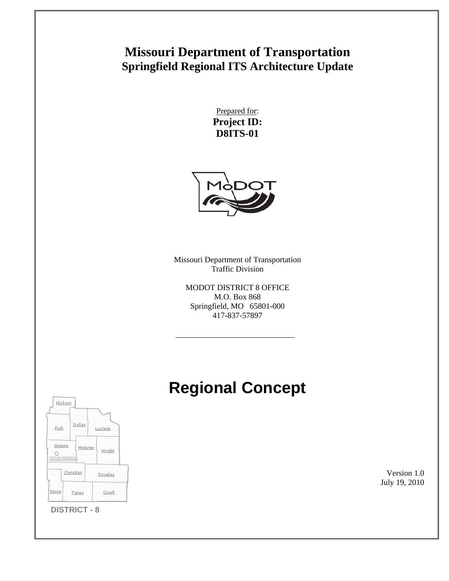## **Missouri Department of Transportation Springfield Regional ITS Architecture Update**

Prepared for: **Project ID: D8ITS-01** 



Missouri Department of Transportation Traffic Division

MODOT DISTRICT 8 OFFICE M.O. Box 868 Springfield, MO 65801-000 417-837-57897

# **Regional Concept**



Version 1.0 July 19, 2010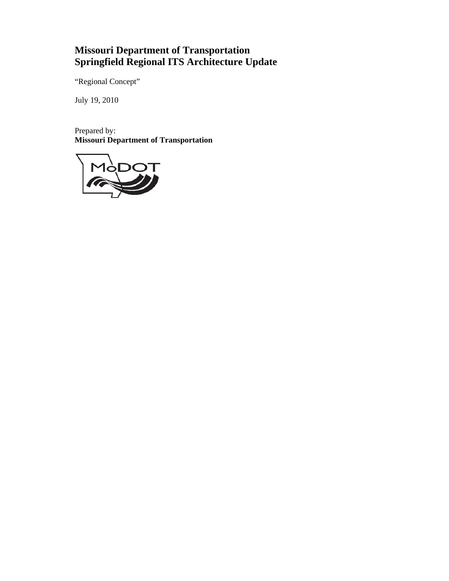## **Missouri Department of Transportation Springfield Regional ITS Architecture Update**

"Regional Concept"

July 19, 2010

Prepared by: **Missouri Department of Transportation** 

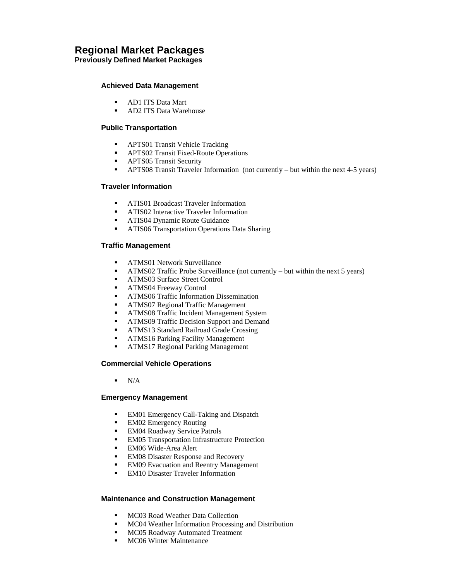### **Regional Market Packages**

**Previously Defined Market Packages** 

#### **Achieved Data Management**

- **AD1 ITS Data Mart**
- **AD2 ITS Data Warehouse**

#### **Public Transportation**

- **APTS01 Transit Vehicle Tracking**
- **APTS02 Transit Fixed-Route Operations**
- **APTS05 Transit Security**
- APTS08 Transit Traveler Information (not currently but within the next 4-5 years)

#### **Traveler Information**

- **ATIS01 Broadcast Traveler Information**
- **ATIS02 Interactive Traveler Information**
- **ATIS04 Dynamic Route Guidance**
- **ATIS06 Transportation Operations Data Sharing**

#### **Traffic Management**

- **ATMS01 Network Surveillance**
- ATMS02 Traffic Probe Surveillance (not currently but within the next 5 years)
- **ATMS03 Surface Street Control**
- **ATMS04 Freeway Control**
- **ATMS06 Traffic Information Dissemination**
- **ATMS07 Regional Traffic Management**
- **-** ATMS08 Traffic Incident Management System
- **ATMS09 Traffic Decision Support and Demand**
- **ATMS13 Standard Railroad Grade Crossing**
- **ATMS16 Parking Facility Management**
- **ATMS17 Regional Parking Management**

#### **Commercial Vehicle Operations**

 $N/A$ 

#### **Emergency Management**

- **EM01 Emergency Call-Taking and Dispatch**
- EM02 Emergency Routing
- **EM04 Roadway Service Patrols**
- **EM05** Transportation Infrastructure Protection
- EM06 Wide-Area Alert
- **EM08 Disaster Response and Recovery**
- **EM09** Evacuation and Reentry Management
- EM10 Disaster Traveler Information

#### **Maintenance and Construction Management**

- **MC03 Road Weather Data Collection**
- **MC04 Weather Information Processing and Distribution**
- **MC05 Roadway Automated Treatment**
- **MC06 Winter Maintenance**